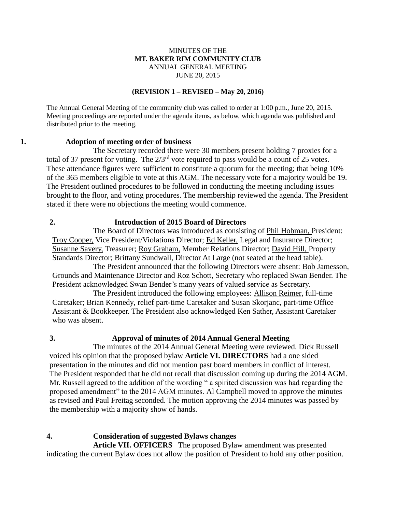### MINUTES OF THE **MT. BAKER RIM COMMUNITY CLUB** ANNUAL GENERAL MEETING JUNE 20, 2015

#### **(REVISION 1 – REVISED – May 20, 2016)**

The Annual General Meeting of the community club was called to order at 1:00 p.m., June 20, 2015. Meeting proceedings are reported under the agenda items, as below, which agenda was published and distributed prior to the meeting.

### **1. Adoption of meeting order of business**

The Secretary recorded there were 30 members present holding 7 proxies for a total of 37 present for voting. The  $2/3<sup>rd</sup>$  vote required to pass would be a count of 25 votes. These attendance figures were sufficient to constitute a quorum for the meeting; that being 10% of the 365 members eligible to vote at this AGM. The necessary vote for a majority would be 19. The President outlined procedures to be followed in conducting the meeting including issues brought to the floor, and voting procedures. The membership reviewed the agenda. The President stated if there were no objections the meeting would commence.

## **2. Introduction of 2015 Board of Directors**

The Board of Directors was introduced as consisting of Phil Hobman, President: Troy Cooper, Vice President/Violations Director; Ed Keller, Legal and Insurance Director; Susanne Savery, Treasurer; Roy Graham, Member Relations Director; David Hill, Property Standards Director; Brittany Sundwall, Director At Large (not seated at the head table).

The President announced that the following Directors were absent: Bob Jamesson, Grounds and Maintenance Director and Roz Schott, Secretary who replaced Swan Bender. The President acknowledged Swan Bender's many years of valued service as Secretary.

The President introduced the following employees: Allison Reimer, full-time Caretaker; Brian Kennedy, relief part-time Caretaker and Susan Skorjanc, part-time Office Assistant & Bookkeeper. The President also acknowledged Ken Sather, Assistant Caretaker who was absent.

## **3. Approval of minutes of 2014 Annual General Meeting**

The minutes of the 2014 Annual General Meeting were reviewed. Dick Russell voiced his opinion that the proposed bylaw **Article VI. DIRECTORS** had a one sided presentation in the minutes and did not mention past board members in conflict of interest. The President responded that he did not recall that discussion coming up during the 2014 AGM. Mr. Russell agreed to the addition of the wording " a spirited discussion was had regarding the proposed amendment" to the 2014 AGM minutes. Al Campbell moved to approve the minutes as revised and Paul Freitag seconded. The motion approving the 2014 minutes was passed by the membership with a majority show of hands.

### **4. Consideration of suggested Bylaws changes**

**Article VII. OFFICERS** The proposed Bylaw amendment was presented indicating the current Bylaw does not allow the position of President to hold any other position.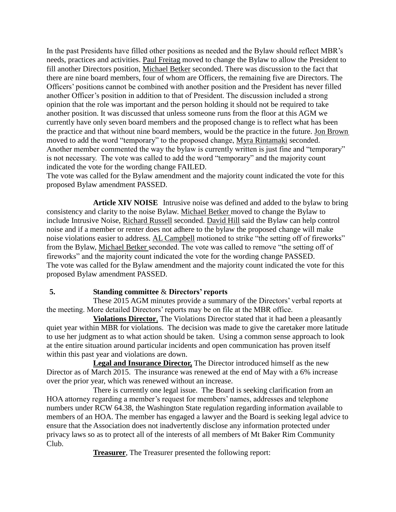In the past Presidents have filled other positions as needed and the Bylaw should reflect MBR's needs, practices and activities. Paul Freitag moved to change the Bylaw to allow the President to fill another Directors position, Michael Betker seconded. There was discussion to the fact that there are nine board members, four of whom are Officers, the remaining five are Directors. The Officers' positions cannot be combined with another position and the President has never filled another Officer's position in addition to that of President. The discussion included a strong opinion that the role was important and the person holding it should not be required to take another position. It was discussed that unless someone runs from the floor at this AGM we currently have only seven board members and the proposed change is to reflect what has been the practice and that without nine board members, would be the practice in the future. Jon Brown moved to add the word "temporary" to the proposed change, Myra Rintamaki seconded. Another member commented the way the bylaw is currently written is just fine and "temporary" is not necessary. The vote was called to add the word "temporary" and the majority count indicated the vote for the wording change FAILED.

The vote was called for the Bylaw amendment and the majority count indicated the vote for this proposed Bylaw amendment PASSED.

**Article XIV NOISE** Intrusive noise was defined and added to the bylaw to bring consistency and clarity to the noise Bylaw. Michael Betker moved to change the Bylaw to include Intrusive Noise, Richard Russell seconded. David Hill said the Bylaw can help control noise and if a member or renter does not adhere to the bylaw the proposed change will make noise violations easier to address. AL Campbell motioned to strike "the setting off of fireworks" from the Bylaw, Michael Betker seconded. The vote was called to remove "the setting off of fireworks" and the majority count indicated the vote for the wording change PASSED. The vote was called for the Bylaw amendment and the majority count indicated the vote for this proposed Bylaw amendment PASSED.

### **5. Standing committee** & **Directors' reports**

These 2015 AGM minutes provide a summary of the Directors' verbal reports at the meeting. More detailed Directors' reports may be on file at the MBR office.

**Violations Director**, The Violations Director stated that it had been a pleasantly quiet year within MBR for violations. The decision was made to give the caretaker more latitude to use her judgment as to what action should be taken. Using a common sense approach to look at the entire situation around particular incidents and open communication has proven itself within this past year and violations are down.

**Legal and Insurance Director,** The Director introduced himself as the new Director as of March 2015. The insurance was renewed at the end of May with a 6% increase over the prior year, which was renewed without an increase.

There is currently one legal issue. The Board is seeking clarification from an HOA attorney regarding a member's request for members' names, addresses and telephone numbers under RCW 64.38, the Washington State regulation regarding information available to members of an HOA. The member has engaged a lawyer and the Board is seeking legal advice to ensure that the Association does not inadvertently disclose any information protected under privacy laws so as to protect all of the interests of all members of Mt Baker Rim Community Club.

**Treasurer**, The Treasurer presented the following report: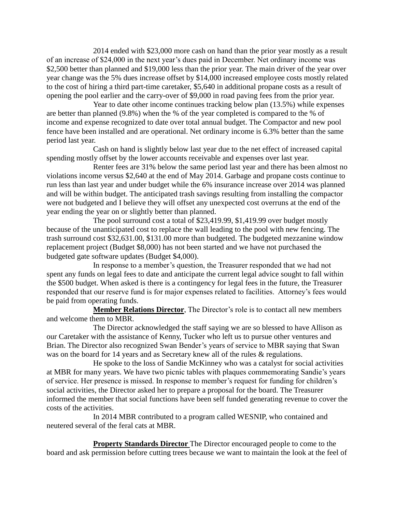2014 ended with \$23,000 more cash on hand than the prior year mostly as a result of an increase of \$24,000 in the next year's dues paid in December. Net ordinary income was \$2,500 better than planned and \$19,000 less than the prior year. The main driver of the year over year change was the 5% dues increase offset by \$14,000 increased employee costs mostly related to the cost of hiring a third part-time caretaker, \$5,640 in additional propane costs as a result of opening the pool earlier and the carry-over of \$9,000 in road paving fees from the prior year.

Year to date other income continues tracking below plan (13.5%) while expenses are better than planned (9.8%) when the % of the year completed is compared to the % of income and expense recognized to date over total annual budget. The Compactor and new pool fence have been installed and are operational. Net ordinary income is 6.3% better than the same period last year.

Cash on hand is slightly below last year due to the net effect of increased capital spending mostly offset by the lower accounts receivable and expenses over last year.

Renter fees are 31% below the same period last year and there has been almost no violations income versus \$2,640 at the end of May 2014. Garbage and propane costs continue to run less than last year and under budget while the 6% insurance increase over 2014 was planned and will be within budget. The anticipated trash savings resulting from installing the compactor were not budgeted and I believe they will offset any unexpected cost overruns at the end of the year ending the year on or slightly better than planned.

The pool surround cost a total of \$23,419.99, \$1,419.99 over budget mostly because of the unanticipated cost to replace the wall leading to the pool with new fencing. The trash surround cost \$32,631.00, \$131.00 more than budgeted. The budgeted mezzanine window replacement project (Budget \$8,000) has not been started and we have not purchased the budgeted gate software updates (Budget \$4,000).

In response to a member's question, the Treasurer responded that we had not spent any funds on legal fees to date and anticipate the current legal advice sought to fall within the \$500 budget. When asked is there is a contingency for legal fees in the future, the Treasurer responded that our reserve fund is for major expenses related to facilities. Attorney's fees would be paid from operating funds.

**Member Relations Director**, The Director's role is to contact all new members and welcome them to MBR.

The Director acknowledged the staff saying we are so blessed to have Allison as our Caretaker with the assistance of Kenny, Tucker who left us to pursue other ventures and Brian. The Director also recognized Swan Bender's years of service to MBR saying that Swan was on the board for 14 years and as Secretary knew all of the rules & regulations.

He spoke to the loss of Sandie McKinney who was a catalyst for social activities at MBR for many years. We have two picnic tables with plaques commemorating Sandie's years of service. Her presence is missed. In response to member's request for funding for children's social activities, the Director asked her to prepare a proposal for the board. The Treasurer informed the member that social functions have been self funded generating revenue to cover the costs of the activities.

In 2014 MBR contributed to a program called WESNIP, who contained and neutered several of the feral cats at MBR.

**Property Standards Director** The Director encouraged people to come to the board and ask permission before cutting trees because we want to maintain the look at the feel of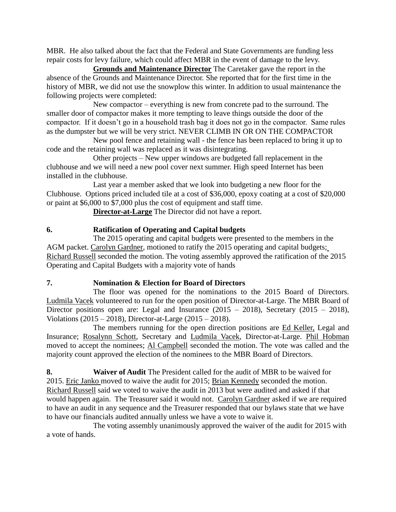MBR. He also talked about the fact that the Federal and State Governments are funding less repair costs for levy failure, which could affect MBR in the event of damage to the levy.

**Grounds and Maintenance Director** The Caretaker gave the report in the absence of the Grounds and Maintenance Director. She reported that for the first time in the history of MBR, we did not use the snowplow this winter. In addition to usual maintenance the following projects were completed:

New compactor – everything is new from concrete pad to the surround. The smaller door of compactor makes it more tempting to leave things outside the door of the compactor. If it doesn't go in a household trash bag it does not go in the compactor. Same rules as the dumpster but we will be very strict. NEVER CLIMB IN OR ON THE COMPACTOR

New pool fence and retaining wall - the fence has been replaced to bring it up to code and the retaining wall was replaced as it was disintegrating.

Other projects – New upper windows are budgeted fall replacement in the clubhouse and we will need a new pool cover next summer. High speed Internet has been installed in the clubhouse.

Last year a member asked that we look into budgeting a new floor for the Clubhouse. Options priced included tile at a cost of \$36,000, epoxy coating at a cost of \$20,000 or paint at \$6,000 to \$7,000 plus the cost of equipment and staff time.

**Director-at-Large** The Director did not have a report.

# **6. Ratification of Operating and Capital budgets**

The 2015 operating and capital budgets were presented to the members in the AGM packet. Carolyn Gardner, motioned to ratify the 2015 operating and capital budgets; Richard Russell seconded the motion. The voting assembly approved the ratification of the 2015 Operating and Capital Budgets with a majority vote of hands

## **7. Nomination & Election for Board of Directors**

The floor was opened for the nominations to the 2015 Board of Directors. Ludmila Vacek volunteered to run for the open position of Director-at-Large. The MBR Board of Director positions open are: Legal and Insurance  $(2015 - 2018)$ , Secretary  $(2015 - 2018)$ , Violations (2015 – 2018), Director-at-Large (2015 – 2018).

The members running for the open direction positions are Ed Keller, Legal and Insurance; Rosalynn Schott, Secretary and Ludmila Vacek, Director-at-Large. Phil Hobman moved to accept the nominees; Al Campbell seconded the motion. The vote was called and the majority count approved the election of the nominees to the MBR Board of Directors.

**8. Waiver of Audit** The President called for the audit of MBR to be waived for 2015. Eric Janko moved to waive the audit for 2015; Brian Kennedy seconded the motion. Richard Russell said we voted to waive the audit in 2013 but were audited and asked if that would happen again. The Treasurer said it would not. Carolyn Gardner asked if we are required to have an audit in any sequence and the Treasurer responded that our bylaws state that we have to have our financials audited annually unless we have a vote to waive it.

The voting assembly unanimously approved the waiver of the audit for 2015 with a vote of hands.